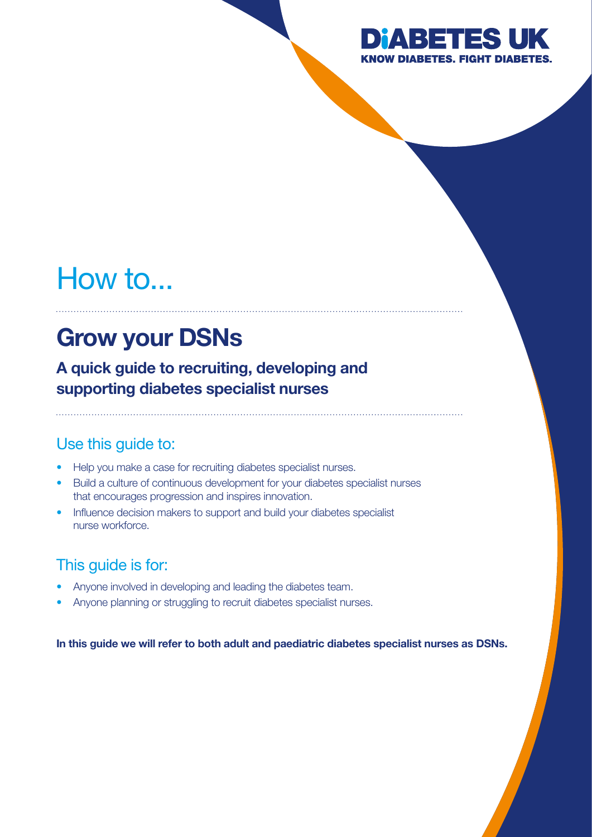

# How to...

## Grow your DSNs

A quick guide to recruiting, developing and supporting diabetes specialist nurses

### Use this guide to:

- Help you make a case for recruiting diabetes specialist nurses.
- Build a culture of continuous development for your diabetes specialist nurses that encourages progression and inspires innovation.
- Influence decision makers to support and build your diabetes specialist nurse workforce.

### This guide is for:

- Anyone involved in developing and leading the diabetes team.
- Anyone planning or struggling to recruit diabetes specialist nurses.

In this guide we will refer to both adult and paediatric diabetes specialist nurses as DSNs.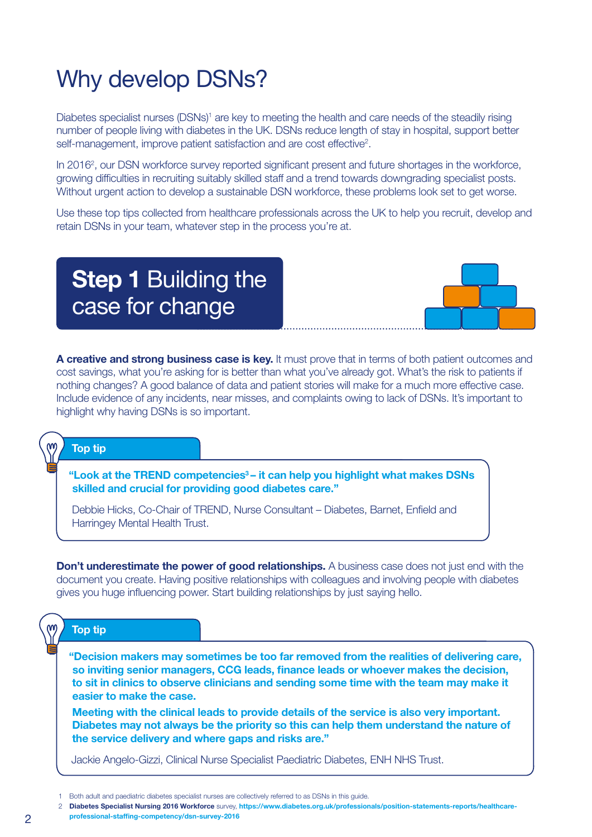## Why develop DSNs?

Diabetes specialist nurses (DSNs)<sup>1</sup> are key to meeting the health and care needs of the steadily rising number of people living with diabetes in the UK. DSNs reduce length of stay in hospital, support better self-management, improve patient satisfaction and are cost effective<sup>2</sup>.

In 2016<sup>2</sup>, our DSN workforce survey reported significant present and future shortages in the workforce, growing difficulties in recruiting suitably skilled staff and a trend towards downgrading specialist posts. Without urgent action to develop a sustainable DSN workforce, these problems look set to get worse.

Use these top tips collected from healthcare professionals across the UK to help you recruit, develop and retain DSNs in your team, whatever step in the process you're at.

### **Step 1 Building the** case for change



A creative and strong business case is key. It must prove that in terms of both patient outcomes and cost savings, what you're asking for is better than what you've already got. What's the risk to patients if nothing changes? A good balance of data and patient stories will make for a much more effective case. Include evidence of any incidents, near misses, and complaints owing to lack of DSNs. It's important to highlight why having DSNs is so important.

### Top tip

"Look at the TREND competencies<sup>3</sup> – it can help you highlight what makes DSNs skilled and crucial for providing good diabetes care."

Debbie Hicks, Co-Chair of TREND, Nurse Consultant – Diabetes, Barnet, Enfield and Harringey Mental Health Trust.

**Don't underestimate the power of good relationships.** A business case does not just end with the document you create. Having positive relationships with colleagues and involving people with diabetes gives you huge influencing power. Start building relationships by just saying hello.

### Top tip

"Decision makers may sometimes be too far removed from the realities of delivering care, so inviting senior managers, CCG leads, finance leads or whoever makes the decision, to sit in clinics to observe clinicians and sending some time with the team may make it easier to make the case.

Meeting with the clinical leads to provide details of the service is also very important. Diabetes may not always be the priority so this can help them understand the nature of the service delivery and where gaps and risks are."

Jackie Angelo-Gizzi, Clinical Nurse Specialist Paediatric Diabetes, ENH NHS Trust.

[professional-staffing-competency/dsn-survey-2016](https://www.diabetes.org.uk/professionals/position-statements-reports/healthcare-professional-staffing-competency/dsn-survey-2016)

<sup>1</sup> Both adult and paediatric diabetes specialist nurses are collectively referred to as DSNs in this guide.

<sup>2</sup> Diabetes Specialist Nursing 2016 Workforce survey, [https://www.diabetes.org.uk/professionals/position-statements-reports/healthcare-](https://www.diabetes.org.uk/professionals/position-statements-reports/healthcare-professional-staffing-competency/dsn-survey-2016)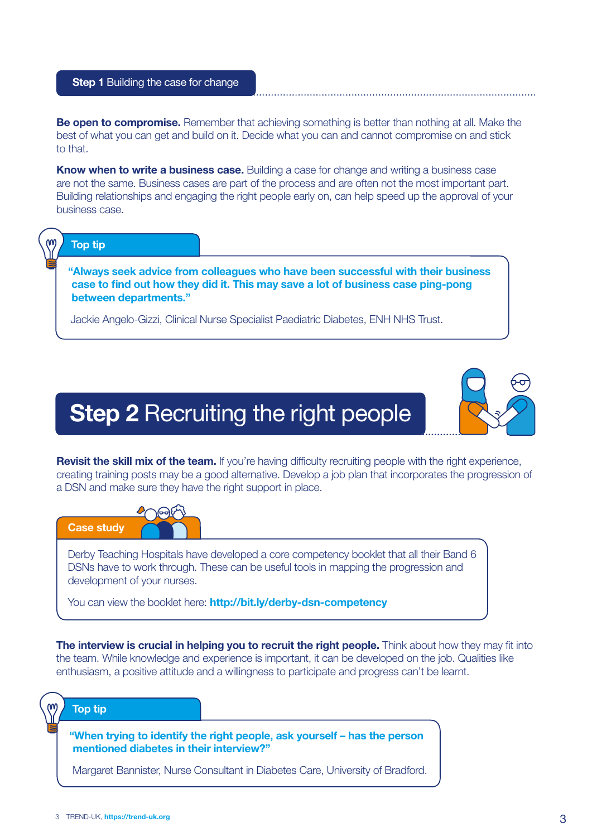#### **Step 1 Building the case for change**

**Be open to compromise.** Remember that achieving something is better than nothing at all. Make the best of what you can get and build on it. Decide what you can and cannot compromise on and stick to that.

**Know when to write a business case.** Building a case for change and writing a business case are not the same. Business cases are part of the process and are often not the most important part. Building relationships and engaging the right people early on, can help speed up the approval of your business case.

#### Top tip

"Always seek advice from colleagues who have been successful with their business case to find out how they did it. This may save a lot of business case ping-pong between departments."

Jackie Angelo-Gizzi, Clinical Nurse Specialist Paediatric Diabetes, ENH NHS Trust.

### **Step 2 Recruiting the right people**



Revisit the skill mix of the team. If you're having difficulty recruiting people with the right experience, creating training posts may be a good alternative. Develop a job plan that incorporates the progression of a DSN and make sure they have the right support in place.



Derby Teaching Hospitals have developed a core competency booklet that all their Band 6 DSNs have to work through. These can be useful tools in mapping the progression and development of your nurses.

You can view the booklet here: [http://bit.ly/derby-dsn-competency](https://www.diabetes.org.uk/resources-s3/2019-04/Derby%20DSN%20Competency%20Pack.pdf)

The interview is crucial in helping you to recruit the right people. Think about how they may fit into the team. While knowledge and experience is important, it can be developed on the job. Qualities like enthusiasm, a positive attitude and a willingness to participate and progress can't be learnt.

#### Top tip

"When trying to identify the right people, ask yourself – has the person mentioned diabetes in their interview?"

Margaret Bannister, Nurse Consultant in Diabetes Care, University of Bradford.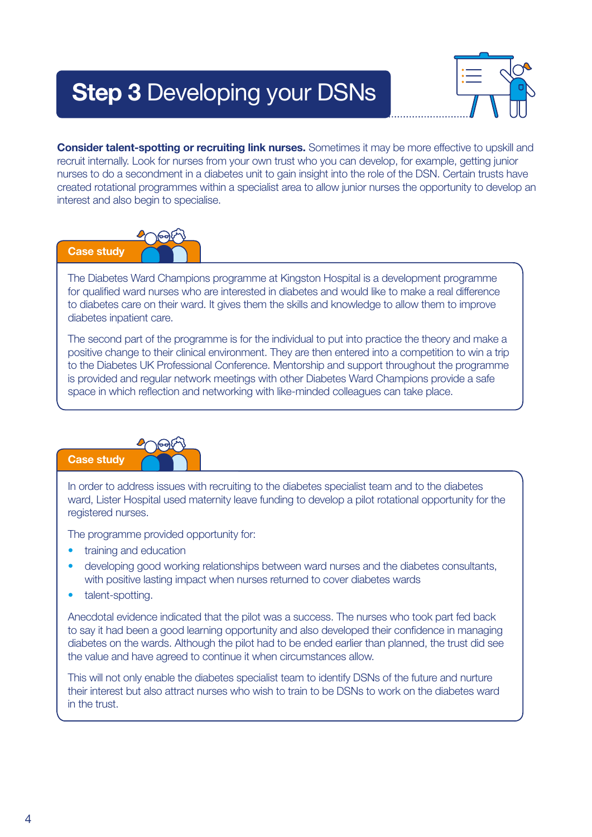## Step 3 Developing your DSNs



**Consider talent-spotting or recruiting link nurses.** Sometimes it may be more effective to upskill and recruit internally. Look for nurses from your own trust who you can develop, for example, getting junior nurses to do a secondment in a diabetes unit to gain insight into the role of the DSN. Certain trusts have created rotational programmes within a specialist area to allow junior nurses the opportunity to develop an interest and also begin to specialise.



The Diabetes Ward Champions programme at Kingston Hospital is a development programme for qualified ward nurses who are interested in diabetes and would like to make a real difference to diabetes care on their ward. It gives them the skills and knowledge to allow them to improve diabetes inpatient care.

The second part of the programme is for the individual to put into practice the theory and make a positive change to their clinical environment. They are then entered into a competition to win a trip to the Diabetes UK Professional Conference. Mentorship and support throughout the programme is provided and regular network meetings with other Diabetes Ward Champions provide a safe space in which reflection and networking with like-minded colleagues can take place.



In order to address issues with recruiting to the diabetes specialist team and to the diabetes ward, Lister Hospital used maternity leave funding to develop a pilot rotational opportunity for the registered nurses.

The programme provided opportunity for:

- training and education
- developing good working relationships between ward nurses and the diabetes consultants, with positive lasting impact when nurses returned to cover diabetes wards
- talent-spotting.

Anecdotal evidence indicated that the pilot was a success. The nurses who took part fed back to say it had been a good learning opportunity and also developed their confidence in managing diabetes on the wards. Although the pilot had to be ended earlier than planned, the trust did see the value and have agreed to continue it when circumstances allow.

This will not only enable the diabetes specialist team to identify DSNs of the future and nurture their interest but also attract nurses who wish to train to be DSNs to work on the diabetes ward in the trust.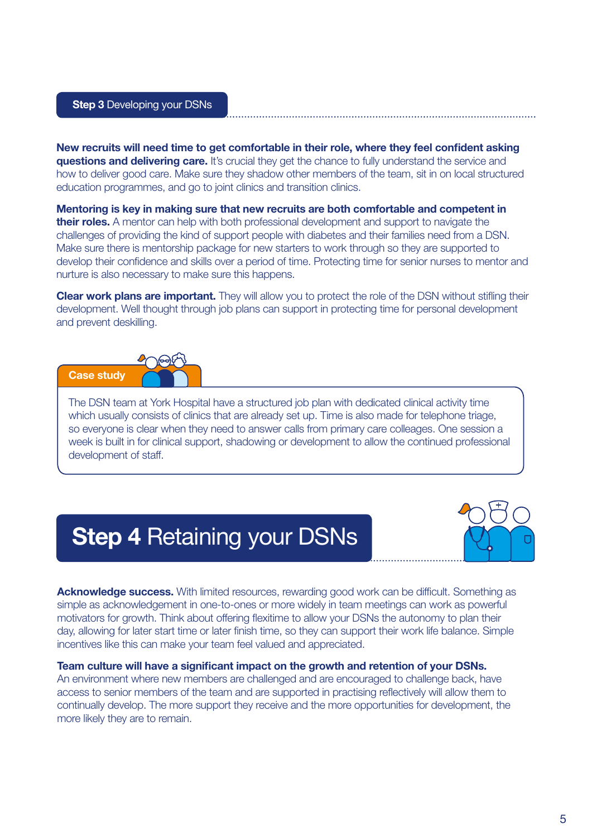New recruits will need time to get comfortable in their role, where they feel confident asking **questions and delivering care.** It's crucial they get the chance to fully understand the service and how to deliver good care. Make sure they shadow other members of the team, sit in on local structured education programmes, and go to joint clinics and transition clinics.

Mentoring is key in making sure that new recruits are both comfortable and competent in their roles. A mentor can help with both professional development and support to navigate the challenges of providing the kind of support people with diabetes and their families need from a DSN. Make sure there is mentorship package for new starters to work through so they are supported to develop their confidence and skills over a period of time. Protecting time for senior nurses to mentor and nurture is also necessary to make sure this happens.

**Clear work plans are important.** They will allow you to protect the role of the DSN without stifling their development. Well thought through job plans can support in protecting time for personal development and prevent deskilling.



The DSN team at York Hospital have a structured job plan with dedicated clinical activity time which usually consists of clinics that are already set up. Time is also made for telephone triage, so everyone is clear when they need to answer calls from primary care colleages. One session a week is built in for clinical support, shadowing or development to allow the continued professional development of staff.

**Step 4 Retaining your DSNs** 



Acknowledge success. With limited resources, rewarding good work can be difficult. Something as simple as acknowledgement in one-to-ones or more widely in team meetings can work as powerful motivators for growth. Think about offering flexitime to allow your DSNs the autonomy to plan their day, allowing for later start time or later finish time, so they can support their work life balance. Simple incentives like this can make your team feel valued and appreciated.

#### Team culture will have a significant impact on the growth and retention of your DSNs.

An environment where new members are challenged and are encouraged to challenge back, have access to senior members of the team and are supported in practising reflectively will allow them to continually develop. The more support they receive and the more opportunities for development, the more likely they are to remain.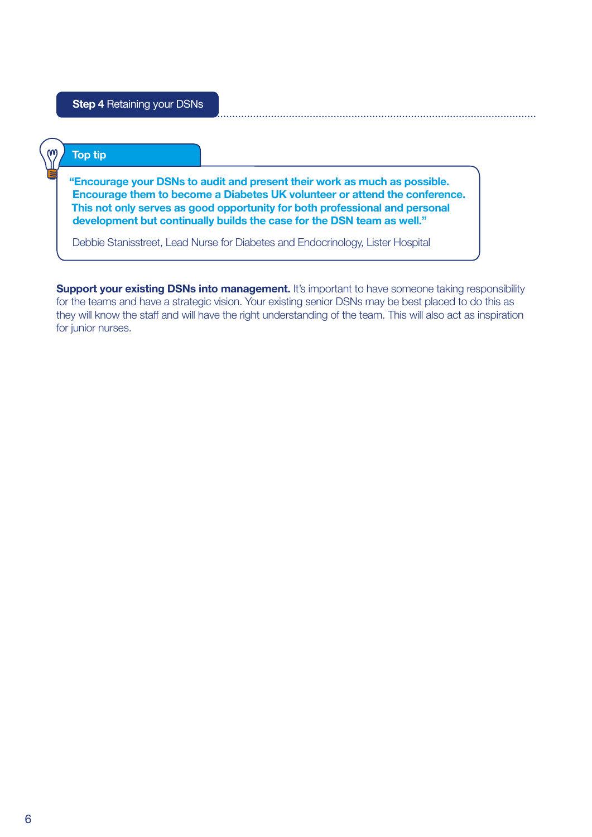### Top tip

"Encourage your DSNs to audit and present their work as much as possible. Encourage them to become a Diabetes UK volunteer or attend the conference. This not only serves as good opportunity for both professional and personal development but continually builds the case for the DSN team as well."

Debbie Stanisstreet, Lead Nurse for Diabetes and Endocrinology, Lister Hospital

Support your existing DSNs into management. It's important to have someone taking responsibility for the teams and have a strategic vision. Your existing senior DSNs may be best placed to do this as they will know the staff and will have the right understanding of the team. This will also act as inspiration for junior nurses.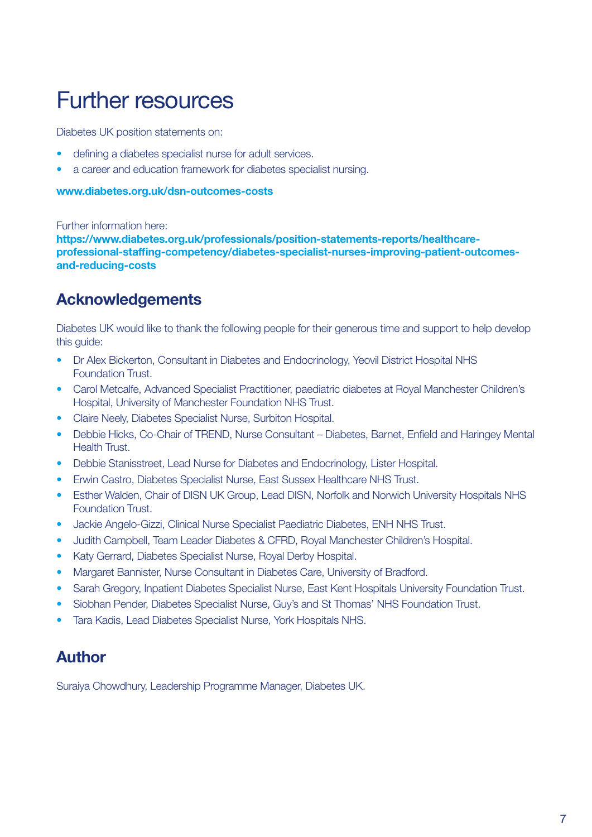## Further resources

Diabetes UK position statements on:

- defining a diabetes specialist nurse for adult services.
- a career and education framework for diabetes specialist nursing.

#### [www.diabetes.org.uk/dsn-outcomes-costs](https://www.diabetes.org.uk/Professionals/Position-statements-reports/Healthcare-professional-staffing-competency/Diabetes-Specialist-Nurses-improving-patient-outcomes-and-reducing-costs)

Further information here:

[https://www.diabetes.org.uk/professionals/position-statements-reports/healthcare](https://www.diabetes.org.uk/professionals/position-statements-reports/healthcare-professional-staffing-competency/diabetes-specialist-nurses-improving-patient-outcomes-and-reducing-costs)[professional-staffing-competency/diabetes-specialist-nurses-improving-patient-outcomes](https://www.diabetes.org.uk/professionals/position-statements-reports/healthcare-professional-staffing-competency/diabetes-specialist-nurses-improving-patient-outcomes-and-reducing-costs)[and-reducing-costs](https://www.diabetes.org.uk/professionals/position-statements-reports/healthcare-professional-staffing-competency/diabetes-specialist-nurses-improving-patient-outcomes-and-reducing-costs)

### Acknowledgements

Diabetes UK would like to thank the following people for their generous time and support to help develop this guide:

- Dr Alex Bickerton, Consultant in Diabetes and Endocrinology, Yeovil District Hospital NHS Foundation Trust.
- Carol Metcalfe, Advanced Specialist Practitioner, paediatric diabetes at Royal Manchester Children's Hospital, University of Manchester Foundation NHS Trust.
- Claire Neely, Diabetes Specialist Nurse, Surbiton Hospital.
- Debbie Hicks, Co-Chair of TREND, Nurse Consultant Diabetes, Barnet, Enfield and Haringey Mental Health Trust.
- Debbie Stanisstreet, Lead Nurse for Diabetes and Endocrinology, Lister Hospital.
- Erwin Castro, Diabetes Specialist Nurse, East Sussex Healthcare NHS Trust.
- Esther Walden, Chair of DISN UK Group, Lead DISN, Norfolk and Norwich University Hospitals NHS Foundation Trust.
- Jackie Angelo-Gizzi, Clinical Nurse Specialist Paediatric Diabetes, ENH NHS Trust.
- Judith Campbell, Team Leader Diabetes & CFRD, Royal Manchester Children's Hospital.
- Katy Gerrard, Diabetes Specialist Nurse, Royal Derby Hospital.
- Margaret Bannister, Nurse Consultant in Diabetes Care, University of Bradford.
- Sarah Gregory, Inpatient Diabetes Specialist Nurse, East Kent Hospitals University Foundation Trust.
- Siobhan Pender, Diabetes Specialist Nurse, Guy's and St Thomas' NHS Foundation Trust.
- Tara Kadis, Lead Diabetes Specialist Nurse, York Hospitals NHS.

### Author

Suraiya Chowdhury, Leadership Programme Manager, Diabetes UK.